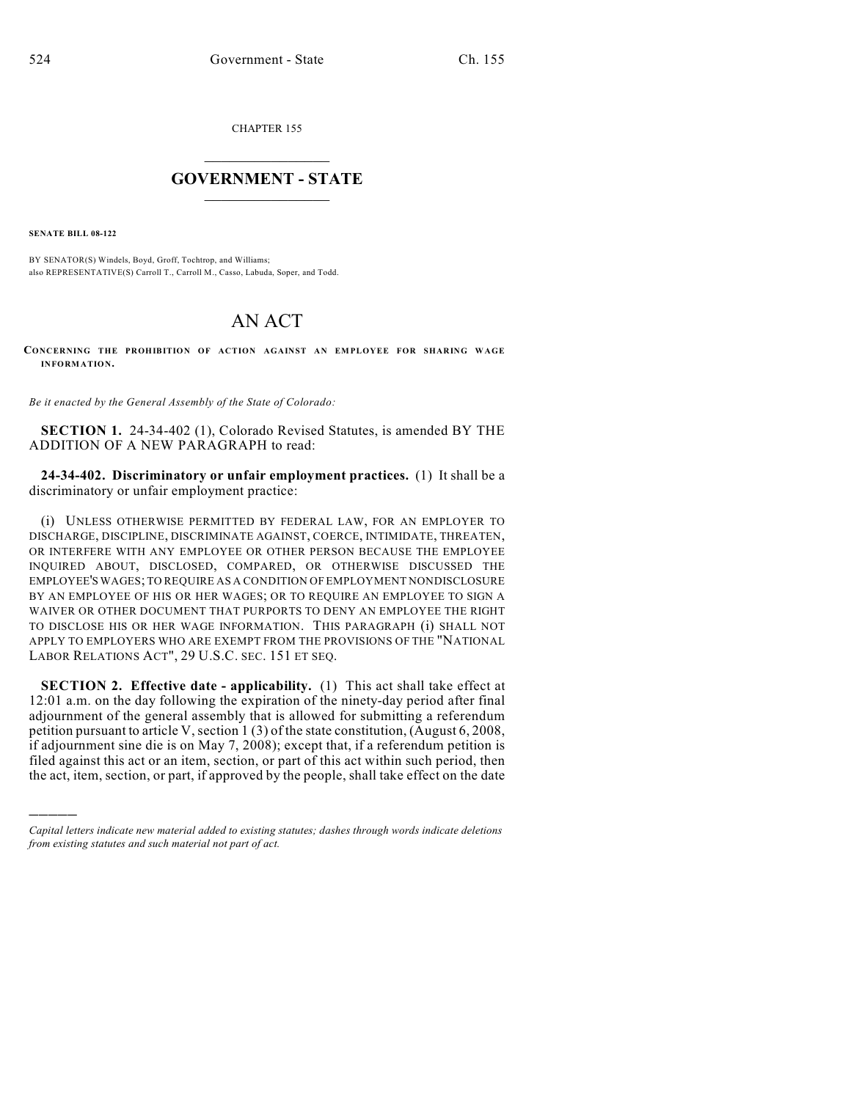CHAPTER 155

## $\overline{\phantom{a}}$  . The set of the set of the set of the set of the set of the set of the set of the set of the set of the set of the set of the set of the set of the set of the set of the set of the set of the set of the set o **GOVERNMENT - STATE**  $\_$

**SENATE BILL 08-122**

)))))

BY SENATOR(S) Windels, Boyd, Groff, Tochtrop, and Williams; also REPRESENTATIVE(S) Carroll T., Carroll M., Casso, Labuda, Soper, and Todd.

## AN ACT

**CONCERNING THE PROHIBITION OF ACTION AGAINST AN EMPLOYEE FOR SHARING WAGE INFORMATION.**

*Be it enacted by the General Assembly of the State of Colorado:*

**SECTION 1.** 24-34-402 (1), Colorado Revised Statutes, is amended BY THE ADDITION OF A NEW PARAGRAPH to read:

**24-34-402. Discriminatory or unfair employment practices.** (1) It shall be a discriminatory or unfair employment practice:

(i) UNLESS OTHERWISE PERMITTED BY FEDERAL LAW, FOR AN EMPLOYER TO DISCHARGE, DISCIPLINE, DISCRIMINATE AGAINST, COERCE, INTIMIDATE, THREATEN, OR INTERFERE WITH ANY EMPLOYEE OR OTHER PERSON BECAUSE THE EMPLOYEE INQUIRED ABOUT, DISCLOSED, COMPARED, OR OTHERWISE DISCUSSED THE EMPLOYEE'S WAGES; TO REQUIRE AS A CONDITION OF EMPLOYMENT NONDISCLOSURE BY AN EMPLOYEE OF HIS OR HER WAGES; OR TO REQUIRE AN EMPLOYEE TO SIGN A WAIVER OR OTHER DOCUMENT THAT PURPORTS TO DENY AN EMPLOYEE THE RIGHT TO DISCLOSE HIS OR HER WAGE INFORMATION. THIS PARAGRAPH (i) SHALL NOT APPLY TO EMPLOYERS WHO ARE EXEMPT FROM THE PROVISIONS OF THE "NATIONAL LABOR RELATIONS ACT", 29 U.S.C. SEC. 151 ET SEQ.

**SECTION 2. Effective date - applicability.** (1) This act shall take effect at 12:01 a.m. on the day following the expiration of the ninety-day period after final adjournment of the general assembly that is allowed for submitting a referendum petition pursuant to article V, section 1 (3) of the state constitution, (August 6, 2008, if adjournment sine die is on May 7, 2008); except that, if a referendum petition is filed against this act or an item, section, or part of this act within such period, then the act, item, section, or part, if approved by the people, shall take effect on the date

*Capital letters indicate new material added to existing statutes; dashes through words indicate deletions from existing statutes and such material not part of act.*